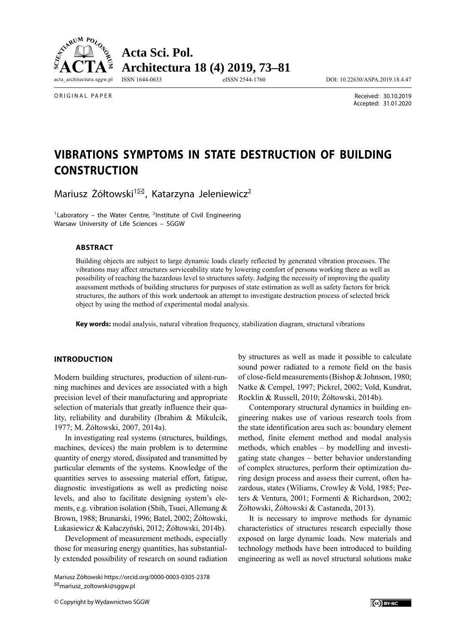

ORIGINAL PAPER

 Received: 30.10.2019 Accepted: 31.01.2020

# **VIBRATIONS SYMPTOMS IN STATE DESTRUCTION OF BUILDING CONSTRUCTION**

Mariusz Żółtowski<sup>1⊠</sup>, Katarzyna Jeleniewicz<sup>2</sup>

<sup>1</sup>Laboratory – the Water Centre, <sup>2</sup>Institute of Civil Engineering Warsaw University of Life Sciences – SGGW

#### **ABSTRACT**

Building objects are subject to large dynamic loads clearly reflected by generated vibration processes. The vibrations may affect structures serviceability state by lowering comfort of persons working there as well as possibility of reaching the hazardous level to structures safety. Judging the necessity of improving the quality assessment methods of building structures for purposes of state estimation as well as safety factors for brick structures, the authors of this work undertook an attempt to investigate destruction process of selected brick object by using the method of experimental modal analysis.

**Key words:** modal analysis, natural vibration frequency, stabilization diagram, structural vibrations

## **INTRODUCTION**

Modern building structures, production of silent-running machines and devices are associated with a high precision level of their manufacturing and appropriate selection of materials that greatly influence their quality, reliability and durability (Ibrahim & Mikulcik, 1977; M. Żółtowski, 2007, 2014a).

In investigating real systems (structures, buildings, machines, devices) the main problem is to determine quantity of energy stored, dissipated and transmitted by particular elements of the systems. Knowledge of the quantities serves to assessing material effort, fatigue, diagnostic investigations as well as predicting noise levels, and also to facilitate designing system's elements, e.g. vibration isolation (Shih, Tsuei, Allemang & Brown, 1988; Brunarski, 1996; Batel, 2002; Żółtowski, Łukasiewicz & Kałaczyński, 2012; Żółtowski, 2014b).

Development of measurement methods, especially those for measuring energy quantities, has substantially extended possibility of research on sound radiation

Mariusz Żółtowski https://orcid.org/0000-0003-0305-2378 mariusz\_zoltowski@sggw.pl

© Copyright by Wydawnictwo SGGW

by structures as well as made it possible to calculate sound power radiated to a remote field on the basis of close-field measurements (Bishop & Johnson, 1980; Natke & Cempel, 1997; Pickrel, 2002; Vold, Kundrat, Rocklin & Russell, 2010; Żółtowski, 2014b).

Contemporary structural dynamics in building engineering makes use of various research tools from the state identification area such as: boundary element method, finite element method and modal analysis methods, which enables – by modelling and investigating state changes – better behavior understanding of complex structures, perform their optimization during design process and assess their current, often hazardous, states (Wiliams, Crowley & Vold, 1985; Peeters & Ventura, 2001; Formenti & Richardson, 2002; Żółtowski, Żółtowski & Castaneda, 2013).

It is necessary to improve methods for dynamic characteristics of structures research especially those exposed on large dynamic loads. New materials and technology methods have been introduced to building engineering as well as novel structural solutions make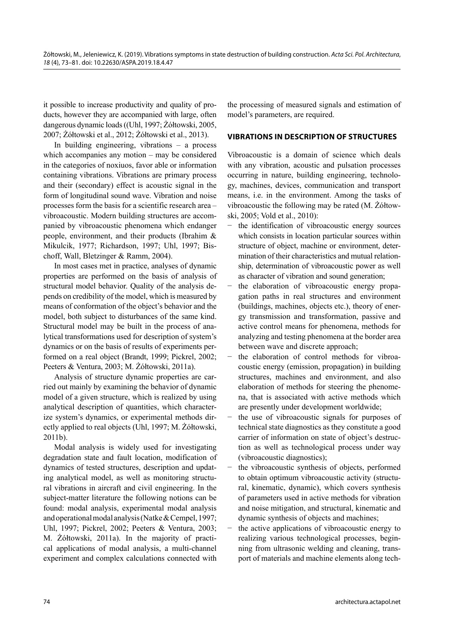it possible to increase productivity and quality of products, however they are accompanied with large, often dangerous dynamic loads ((Uhl, 1997; Żółtowski, 2005, 2007; Żółtowski et al., 2012; Żółtowski et al., 2013).

In building engineering, vibrations – a process which accompanies any motion – may be considered in the categories of noxiuos, favor able or information containing vibrations. Vibrations are primary process and their (secondary) effect is acoustic signal in the form of longitudinal sound wave. Vibration and noise processes form the basis for a scientific research area – vibroacoustic. Modern building structures are accompanied by vibroacoustic phenomena which endanger people, environment, and their products (Ibrahim & Mikulcik, 1977; Richardson, 1997; Uhl, 1997; Bischoff, Wall, Bletzinger & Ramm, 2004).

In most cases met in practice, analyses of dynamic properties are performed on the basis of analysis of structural model behavior. Quality of the analysis depends on credibility of the model, which is measured by means of conformation of the object's behavior and the model, both subject to disturbances of the same kind. Structural model may be built in the process of analytical transformations used for description of system's dynamics or on the basis of results of experiments performed on a real object (Brandt, 1999; Pickrel, 2002; Peeters & Ventura, 2003; M. Żółtowski, 2011a).

Analysis of structure dynamic properties are carried out mainly by examining the behavior of dynamic model of a given structure, which is realized by using analytical description of quantities, which characterize system's dynamics, or experimental methods directly applied to real objects (Uhl, 1997; M. Żółtowski, 2011b).

Modal analysis is widely used for investigating degradation state and fault location, modification of dynamics of tested structures, description and updating analytical model, as well as monitoring structural vibrations in aircraft and civil engineering. In the subject-matter literature the following notions can be found: modal analysis, experimental modal analysis and operational modal analysis (Natke & Cempel, 1997; Uhl, 1997; Pickrel, 2002; Peeters & Ventura, 2003; M. Żółtowski, 2011a). In the majority of practical applications of modal analysis, a multi-channel experiment and complex calculations connected with

the processing of measured signals and estimation of model's parameters, are required.

# **VIBRATIONS IN DESCRIPTION OF STRUCTURES**

Vibroacoustic is a domain of science which deals with any vibration, acoustic and pulsation processes occurring in nature, building engineering, technology, machines, devices, communication and transport means, i.e. in the environment. Among the tasks of vibroa coustic the following may be rated (M. Żółtowski, 2005; Vold et al., 2010):

- the identification of vibroacoustic energy sources which consists in location particular sources within structure of object, machine or environment, determination of their characteristics and mutual relationship, determination of vibroacoustic power as well as character of vibration and sound generation;
- − the elaboration of vibroacoustic energy propagation paths in real structures and environment (buildings, machines, objects etc.), theory of energy transmission and transformation, passive and active control means for phenomena, methods for analyzing and testing phenomena at the border area between wave and discrete approach;
- the elaboration of control methods for vibroacoustic energy (emission, propagation) in building structures, machines and environment, and also elaboration of methods for steering the phenomena, that is associated with active methods which are presently under development worldwide;
- the use of vibroacoustic signals for purposes of technical state diagnostics as they constitute a good carrier of information on state of object's destruction as well as technological process under way (vibroacoustic diagnostics);
- the vibroacoustic synthesis of objects, performed to obtain optimum vibroacoustic activity (structural, kinematic, dynamic), which covers synthesis of parameters used in active methods for vibration and noise mitigation, and structural, kinematic and dynamic synthesis of objects and machines;
- the active applications of vibroacoustic energy to realizing various technological processes, beginning from ultrasonic welding and cleaning, transport of materials and machine elements along tech-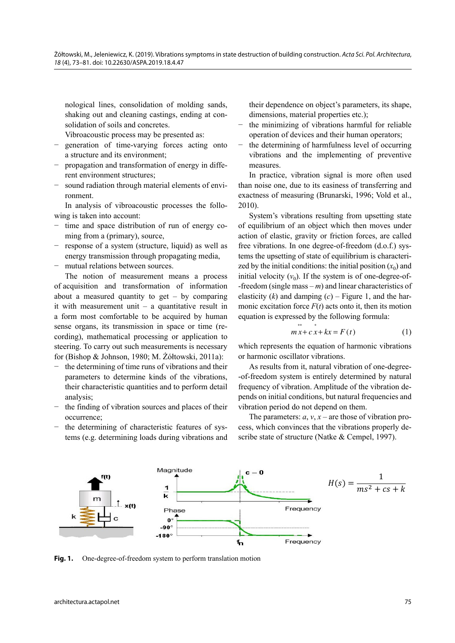nological lines, consolidation of molding sands, shaking out and cleaning castings, ending at consolidation of soils and concretes.

Vibroacoustic process may be presented as:

- generation of time-varying forces acting onto a structure and its environment;
- − propagation and transformation of energy in different environment structures;
- sound radiation through material elements of environment.

In analysis of vibroacoustic processes the following is taken into account:

- time and space distribution of run of energy coming from a (primary), source,
- − response of a system (structure, liquid) as well as energy transmission through propagating media,
- mutual relations between sources.

The notion of measurement means a process of acquisition and transformation of information about a measured quantity to get – by comparing it with measurement unit  $-$  a quantitative result in a form most comfortable to be acquired by human sense organs, its transmission in space or time (recording), mathematical processing or application to steering. To carry out such measurements is necessary for (Bishop & Johnson, 1980; M. Żółtowski, 2011a):

- the determining of time runs of vibrations and their parameters to determine kinds of the vibrations, their characteristic quantities and to perform detail analysis;
- the finding of vibration sources and places of their occurrence;
- the determining of characteristic features of systems (e.g. determining loads during vibrations and

their dependence on object's parameters, its shape, dimensions, material properties etc.);

- the minimizing of vibrations harmful for reliable operation of devices and their human operators;
- the determining of harmfulness level of occurring vibrations and the implementing of preventive measures.

In practice, vibration signal is more often used than noise one, due to its easiness of transferring and exactness of measuring (Brunarski, 1996; Vold et al., 2010).

System's vibrations resulting from upsetting state of equilibrium of an object which then moves under action of elastic, gravity or friction forces, are called free vibrations. In one degree-of-freedom (d.o.f.) systems the upsetting of state of equilibrium is characterized by the initial conditions: the initial position  $(x_0)$  and initial velocity  $(v_0)$ . If the system is of one-degree-of--freedom (single mass – *m*) and linear characteristics of elasticity  $(k)$  and damping  $(c)$  – Figure 1, and the harmonic excitation force  $F(t)$  acts onto it, then its motion equation is expressed by the following formula:  $**$ 

$$
mx + c x + kx = F(t)
$$
 (1)

which represents the equation of harmonic vibrations or harmonic oscillator vibrations.

As results from it, natural vibration of one-degree- -of-freedom system is entirely determined by natural frequency of vibration. Amplitude of the vibration depends on initial conditions, but natural frequencies and vibration period do not depend on them.

The parameters:  $a, v, x$  – are those of vibration process, which convinces that the vibrations properly describe state of structure (Natke & Cempel, 1997).



**Fig. 1.** One-degree-of-freedom system to perform translation motion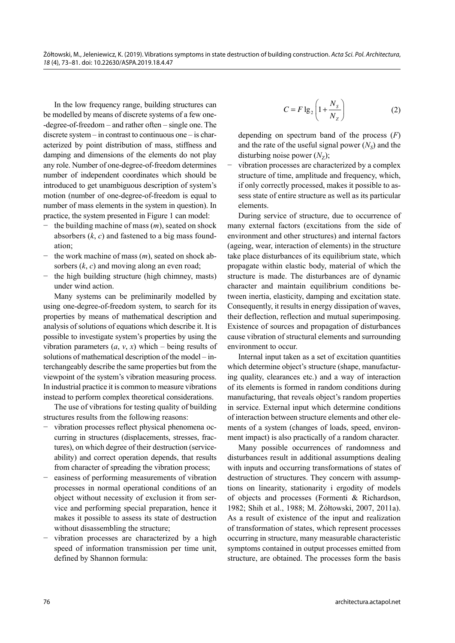In the low frequency range, building structures can be modelled by means of discrete systems of a few one- -degree-of-freedom – and rather often – single one. The discrete system – in contrast to continuous one – is characterized by point distribution of mass, stiffness and damping and dimensions of the elements do not play any role. Number of one-degree-of-freedom determines number of independent coordinates which should be introduced to get unambiguous description of system's motion (number of one-degree-of-freedom is equal to number of mass elements in the system in question). In practice, the system presented in Figure 1 can model:

- the building machine of mass  $(m)$ , seated on shock absorbers (*k*, *c*) and fastened to a big mass foundation;
- the work machine of mass  $(m)$ , seated on shock absorbers (*k*, *c*) and moving along an even road;
- the high building structure (high chimney, masts) under wind action.

Many systems can be preliminarily modelled by using one-degree-of-freedom system, to search for its properties by means of mathematical description and analysis of solutions of equations which describe it. It is possible to investigate system's properties by using the vibration parameters  $(a, v, x)$  which – being results of solutions of mathematical description of the model – interchangeably describe the same properties but from the viewpoint of the system's vibration measuring process. In industrial practice it is common to measure vibrations instead to perform complex theoretical considerations.

The use of vibrations for testing quality of building structures results from the following reasons:

- − vibration processes reflect physical phenomena occurring in structures (displacements, stresses, fractures), on which degree of their destruction (serviceability) and correct operation depends, that results from character of spreading the vibration process;
- easiness of performing measurements of vibration processes in normal operational conditions of an object without necessity of exclusion it from service and performing special preparation, hence it makes it possible to assess its state of destruction without disassembling the structure;
- vibration processes are characterized by a high speed of information transmission per time unit, defined by Shannon formula:

$$
C = F \lg_2 \left( 1 + \frac{N_s}{N_z} \right) \tag{2}
$$

 depending on spectrum band of the process (*F*) and the rate of the useful signal power  $(N<sub>S</sub>)$  and the disturbing noise power  $(N<sub>z</sub>)$ ;

vibration processes are characterized by a complex structure of time, amplitude and frequency, which, if only correctly processed, makes it possible to assess state of entire structure as well as its particular elements.

During service of structure, due to occurrence of many external factors (excitations from the side of environment and other structures) and internal factors (ageing, wear, interaction of elements) in the structure take place disturbances of its equilibrium state, which propagate within elastic body, material of which the structure is made. The disturbances are of dynamic character and maintain equilibrium conditions between inertia, elasticity, damping and excitation state. Consequently, it results in energy dissipation of waves, their deflection, reflection and mutual superimposing. Existence of sources and propagation of disturbances cause vibration of structural elements and surrounding environment to occur.

Internal input taken as a set of excitation quantities which determine object's structure (shape, manufacturing quality, clearances etc.) and a way of interaction of its elements is formed in random conditions during manufacturing, that reveals object's random properties in service. External input which determine conditions of interaction between structure elements and other elements of a system (changes of loads, speed, environment impact) is also practically of a random character.

Many possible occurrences of randomness and disturbances result in additional assumptions dealing with inputs and occurring transformations of states of destruction of structures. They concern with assumptions on linearity, stationarity i ergodity of models of objects and processes (Formenti & Richardson, 1982; Shih et al., 1988; M. Żółtowski, 2007, 2011a). As a result of existence of the input and realization of transformation of states, which represent processes occurring in structure, many measurable characteristic symptoms contained in output processes emitted from structure, are obtained. The processes form the basis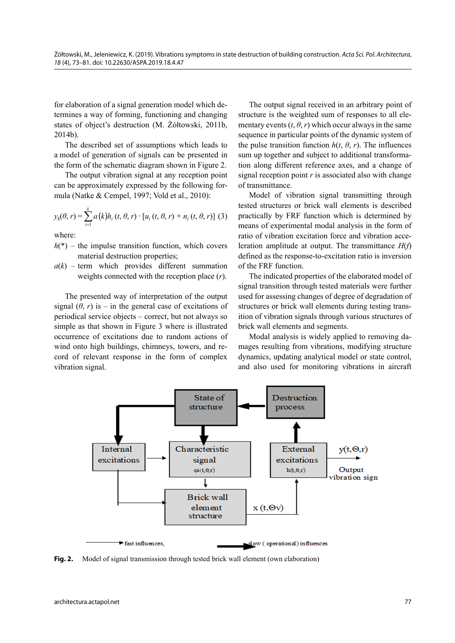for elaboration of a signal generation model which determines a way of forming, functioning and changing states of object's destruction (M. Żółtowski, 2011b, 2014b).

The described set of assumptions which leads to a model of generation of signals can be presented in the form of the schematic diagram shown in Figure 2.

The output vibration signal at any reception point can be approximately expressed by the following formula (Natke & Cempel, 1997; Vold et al., 2010):

$$
y_k(\theta, r) = \sum_{i=1}^k a(k)h_i(t, \theta, r) \cdot [u_i(t, \theta, r) + n_i(t, \theta, r)] \tag{3}
$$

where:

- $h(*)$  the impulse transition function, which covers material destruction properties;
- $a(k)$  term which provides different summation weights connected with the reception place (*r*).

The presented way of interpretation of the output signal  $(\theta, r)$  is – in the general case of excitations of periodical service objects – correct, but not always so simple as that shown in Figure 3 where is illustrated occurrence of excitations due to random actions of wind onto high buildings, chimneys, towers, and record of relevant response in the form of complex vibration signal.

The output signal received in an arbitrary point of structure is the weighted sum of responses to all elementary events  $(t, \theta, r)$  which occur always in the same sequence in particular points of the dynamic system of the pulse transition function  $h(t, \theta, r)$ . The influences sum up together and subject to additional transformation along different reference axes, and a change of signal reception point *r* is associated also with change of transmittance.

Model of vibration signal transmitting through tested structures or brick wall elements is described practically by FRF function which is determined by means of experimental modal analysis in the form of ratio of vibration excitation force and vibration acceleration amplitude at output. The transmittance *H*(*f*) defined as the response-to-excitation ratio is inversion of the FRF function.

The indicated properties of the elaborated model of signal transition through tested materials were further used for assessing changes of degree of degradation of structures or brick wall elements during testing transition of vibration signals through various structures of brick wall elements and segments.

Modal analysis is widely applied to removing damages resulting from vibrations, modifying structure dynamics, updating analytical model or state control, and also used for monitoring vibrations in aircraft



Fig. 2. Model of signal transmission through tested brick wall element (own elaboration)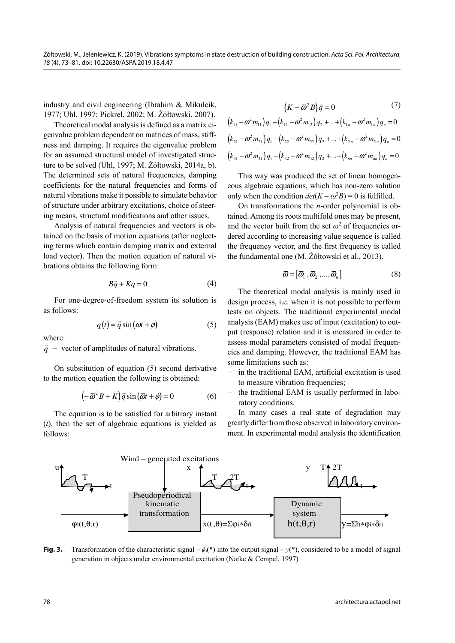industry and civil engineering (Ibrahim & Mikulcik, 1977; Uhl, 1997; Pickrel, 2002; M. Żółtowski, 2007).

Theoretical modal analysis is defined as a matrix eigenvalue problem dependent on matrices of mass, stiffness and damping. It requires the eigenvalue problem for an assumed structural model of investigated structure to be solved (Uhl, 1997; M. Żółtowski, 2014a, b). The determined sets of natural frequencies, damping coefficients for the natural frequencies and forms of natural vibrations make it possible to simulate behavior of structure under arbitrary excitations, choice of steering means, structural modifications and other issues.

Analysis of natural frequencies and vectors is obtained on the basis of motion equations (after neglecting terms which contain damping matrix and external load vector). Then the motion equation of natural vibrations obtains the following form:

$$
B\ddot{q} + Kq = 0 \tag{4}
$$

For one-degree-of-freedom system its solution is as follows:

$$
q(t) = \vec{q}\sin(\omega t + \phi) \tag{5}
$$

where:

 $\ddot{q}$  – vector of amplitudes of natural vibrations.

On substitution of equation (5) second derivative to the motion equation the following is obtained:

$$
(-\overline{\omega}^2 B + K)\overrightarrow{q}\sin(\overline{\omega}t + \phi) = 0
$$
 (6)

The equation is to be satisfied for arbitrary instant (*t*), then the set of algebraic equations is yielded as follows:

$$
(K - \overline{\omega}^2 B)\vec{q} = 0 \tag{7}
$$

$$
(k_{11} - \omega^2 m_{11}) q_1 + (k_{12} - \omega^2 m_{12}) q_2 + \dots + (k_{1n} - \omega^2 m_{1n}) q_n = 0
$$
  

$$
(k_{21} - \omega^2 m_{21}) q_1 + (k_{22} - \omega^2 m_{22}) q_2 + \dots + (k_{2n} - \omega^2 m_{2n}) q_n = 0
$$
  

$$
(k_{41} - \omega^2 m_{41}) q_1 + (k_{42} - \omega^2 m_{42}) q_2 + \dots + (k_{nn} - \omega^2 m_{nn}) q_n = 0
$$

This way was produced the set of linear homogeneous algebraic equations, which has non-zero solution only when the condition  $det(K - \omega^2 B) = 0$  is fulfilled.

On transformations the *n*-order polynomial is obtained. Among its roots multifold ones may be present, and the vector built from the set  $\omega^2$  of frequencies ordered according to increasing value sequence is called the frequency vector, and the first frequency is called the fundamental one (M. Żółtowski et al., 2013).

$$
\overline{\omega} = [\overline{\omega}_1, \overline{\omega}_2, ..., \overline{\omega}_n]
$$
 (8)

The theoretical modal analysis is mainly used in design process, i.e. when it is not possible to perform tests on objects. The traditional experimental modal analysis (EAM) makes use of input (excitation) to output (response) relation and it is measured in order to assess modal parameters consisted of modal frequencies and damping. However, the traditional EAM has some limitations such as:

- in the traditional EAM, artificial excitation is used to measure vibration frequencies;
- − the traditional EAM is usually performed in laboratory conditions.

In many cases a real state of degradation may greatly differ from those observed in laboratory environment. In experimental modal analysis the identification



**Fig. 3.** Transformation of the characteristic signal –  $\phi_i$ <sup>\*</sup>) into the output signal –  $y$ <sup>\*</sup>), considered to be a model of signal generation in objects under environmental excitation (Natke & Cempel, 1997)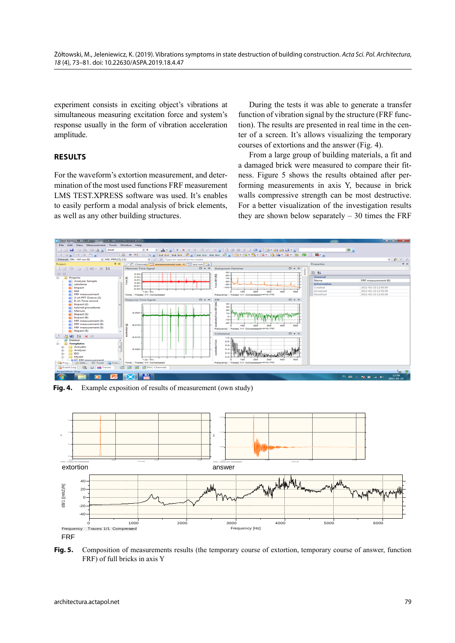experiment consists in exciting object's vibrations at simultaneous measuring excitation force and system's response usually in the form of vibration acceleration amplitude.

# **RESULTS**

For the waveform's extortion measurement, and determination of the most used functions FRF measurement LMS TEST.XPRESS software was used. It's enables to easily perform a modal analysis of brick elements, as well as any other building structures.

During the tests it was able to generate a transfer function of vibration signal by the structure (FRF function). The results are presented in real time in the center of a screen. It's allows visualizing the temporary courses of extortions and the answer (Fig. 4).

From a large group of building materials, a fit and a damaged brick were measured to compare their fitness. Figure 5 shows the results obtained after performing measurements in axis Y, because in brick walls compressive strength can be most destructive. For a better visualization of the investigation results they are shown below separately  $-30$  times the FRF



Fig. 4. Example exposition of results of measurement (own study)



**Fig. 5.** Composition of measurements results (the temporary course of extortion, temporary course of answer, function FRF) of full bricks in axis Y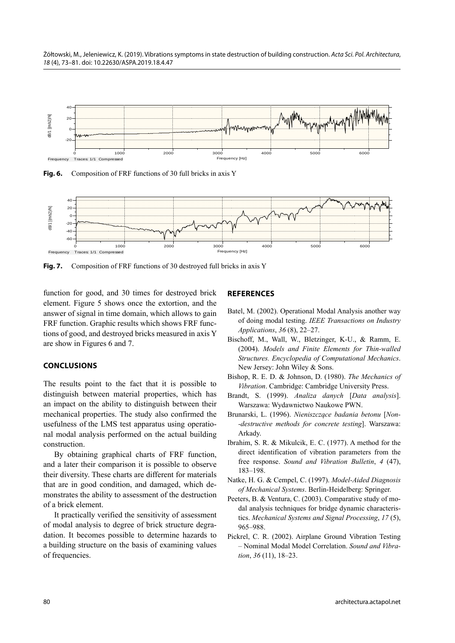Żółtowski, M., Jeleniewicz, K. (2019). Vibrations symptoms in state destruction of building construction. Acta Sci. Pol. Architectura, 18 (4), 73–81. doi: 10.22630/ASPA.2019.18.4.47



**Fig. 6.** Composition of FRF functions of 30 full bricks in axis Y



**Fig. 7.** Composition of FRF functions of 30 destroyed full bricks in axis Y

function for good, and 30 times for destroyed brick element. Figure 5 shows once the extortion, and the answer of signal in time domain, which allows to gain FRF function. Graphic results which shows FRF functions of good, and destroyed bricks measured in axis Y are show in Figures 6 and 7.

## **CONCLUSIONS**

The results point to the fact that it is possible to distinguish between material properties, which has an impact on the ability to distinguish between their mechanical properties. The study also confirmed the usefulness of the LMS test apparatus using operational modal analysis performed on the actual building construction.

By obtaining graphical charts of FRF function, and a later their comparison it is possible to observe their diversity. These charts are different for materials that are in good condition, and damaged, which demonstrates the ability to assessment of the destruction of a brick element.

It practically verified the sensitivity of assessment of modal analysis to degree of brick structure degradation. It becomes possible to determine hazards to a building structure on the basis of examining values of frequencies.

### **REFERENCES**

- Batel, M. (2002). Operational Modal Analysis another way of doing modal testing. *IEEE Transactions on Industry Applications*, *36* (8), 22–27.
- Bischoff, M., Wall, W., Bletzinger, K-U., & Ramm, E. (2004). *Models and Finite Elements for Thin-walled Structures. Encyclopedia of Computational Mechanics*. New Jersey: John Wiley & Sons.
- Bishop, R. E. D. & Johnson, D. (1980). *The Mechanics of Vibration*. Cambridge: Cambridge University Press.
- Brandt, S. (1999). *Analiza danych* [*Data analysis*]. Warszawa: Wydawnictwo Naukowe PWN.
- Brunarski, L. (1996). *Nieniszczące badania betonu* [*Non- -destructive methods for concrete testing*]. Warszawa: Arkady.
- Ibrahim, S. R. & Mikulcik, E. C. (1977). A method for the direct identification of vibration parameters from the free response. *Sound and Vibration Bulletin*, *4* (47), 183–198.
- Natke, H. G. & Cempel, C. (1997). *Model-Aided Diagnosis of Mechanical Systems*. Berlin-Heidelberg: Springer.
- Peeters, B. & Ventura, C. (2003). Comparative study of modal analysis techniques for bridge dynamic characteristics. *Mechanical Systems and Signal Processing*, *17* (5), 965–988.
- Pickrel, C. R. (2002). Airplane Ground Vibration Testing – Nominal Modal Model Correlation. *Sound and Vibration*, *36* (11), 18–23.